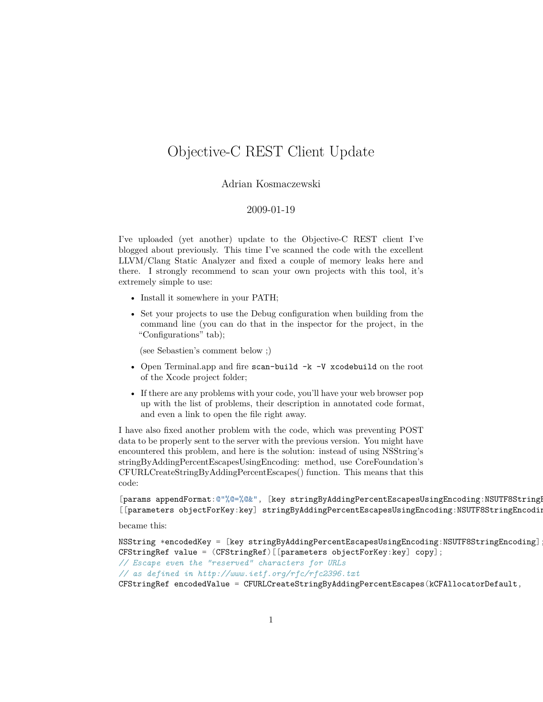## Objective-C REST Client Update

## Adrian Kosmaczewski

## 2009-01-19

I've uploaded (yet another) update to the Objective-C REST client I've blogged about previously. This time I've scanned the code with the excellent LLVM/Clang Static Analyzer and fixed a couple of memory leaks here and there. I strongly recommend to scan your own projects with this tool, it's extremely simple to use:

- Install it somewhere in your PATH;
- Set your projects to use the Debug configuration when building from the command line (you can do that in the inspector for the project, in the "Configurations" tab);

(see Sebastien's comment below ;)

- Open Terminal.app and fire scan-build  $-k$  -V xcodebuild on the root of the Xcode project folder;
- If there are any problems with your code, you'll have your web browser pop up with the list of problems, their description in annotated code format, and even a link to open the file right away.

I have also fixed another problem with the code, which was preventing POST data to be properly sent to the server with the previous version. You might have encountered this problem, and here is the solution: instead of using NSString's stringByAddingPercentEscapesUsingEncoding: method, use CoreFoundation's CFURLCreateStringByAddingPercentEscapes() function. This means that this code:

[params appendFormat:@"%@=%@&", [key stringByAddingPercentEscapesUsingEncoding:NSUTF8String [[parameters objectForKey:key] stringByAddingPercentEscapesUsingEncoding:NSUTF8StringEncoding]];

became this:

```
NSString *encodedKey = [key stringByAddingPercentEscapesUsingEncoding:NSUTF8StringEncoding];
CFStringRef value = (CFStringRef)[[parameters objectForKey:key] copy];
// Escape even the "reserved" characters for URLs
// as defined in http://www.ietf.org/rfc/rfc2396.txt
CFStringRef encodedValue = CFURLCreateStringByAddingPercentEscapes(kCFAllocatorDefault,
```